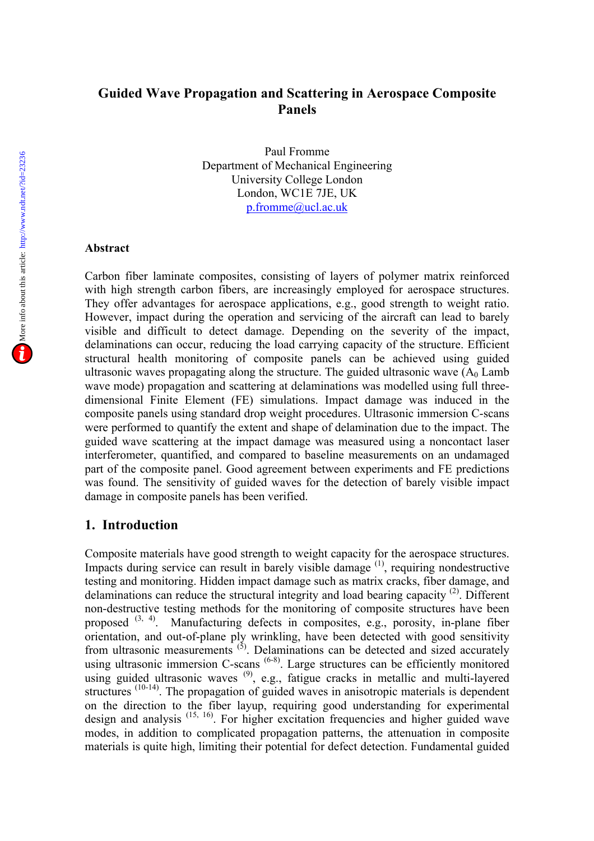# **Guided Wave Propagation and Scattering in Aerospace Composite Panels**

Paul Fromme Department of Mechanical Engineering University College London London, WC1E 7JE, UK p.fromme@ucl.ac.uk

#### **Abstract**

Carbon fiber laminate composites, consisting of layers of polymer matrix reinforced with high strength carbon fibers, are increasingly employed for aerospace structures. They offer advantages for aerospace applications, e.g., good strength to weight ratio. However, impact during the operation and servicing of the aircraft can lead to barely visible and difficult to detect damage. Depending on the severity of the impact, delaminations can occur, reducing the load carrying capacity of the structure. Efficient structural health monitoring of composite panels can be achieved using guided ultrasonic waves propagating along the structure. The guided ultrasonic wave  $(A_0 \text{ Lamb})$ wave mode) propagation and scattering at delaminations was modelled using full threedimensional Finite Element (FE) simulations. Impact damage was induced in the composite panels using standard drop weight procedures. Ultrasonic immersion C-scans were performed to quantify the extent and shape of delamination due to the impact. The guided wave scattering at the impact damage was measured using a noncontact laser interferometer, quantified, and compared to baseline measurements on an undamaged part of the composite panel. Good agreement between experiments and FE predictions was found. The sensitivity of guided waves for the detection of barely visible impact damage in composite panels has been verified.

### **1. Introduction**

Composite materials have good strength to weight capacity for the aerospace structures. Impacts during service can result in barely visible damage  $(1)$ , requiring nondestructive testing and monitoring. Hidden impact damage such as matrix cracks, fiber damage, and delaminations can reduce the structural integrity and load bearing capacity<sup>(2)</sup>. Different non-destructive testing methods for the monitoring of composite structures have been proposed <sup>(3, 4)</sup>. Manufacturing defects in composites, e.g., porosity, in-plane fiber orientation, and out-of-plane ply wrinkling, have been detected with good sensitivity from ultrasonic measurements  $(5)$ . Delaminations can be detected and sized accurately using ultrasonic immersion C-scans<sup>(6-8)</sup>. Large structures can be efficiently monitored using guided ultrasonic waves <sup>(9)</sup>, e.g., fatigue cracks in metallic and multi-layered structures<sup>(10-14)</sup>. The propagation of guided waves in anisotropic materials is dependent on the direction to the fiber layup, requiring good understanding for experimental design and analysis  $(15, 16)$ . For higher excitation frequencies and higher guided wave modes, in addition to complicated propagation patterns, the attenuation in composite materials is quite high, limiting their potential for defect detection. Fundamental guided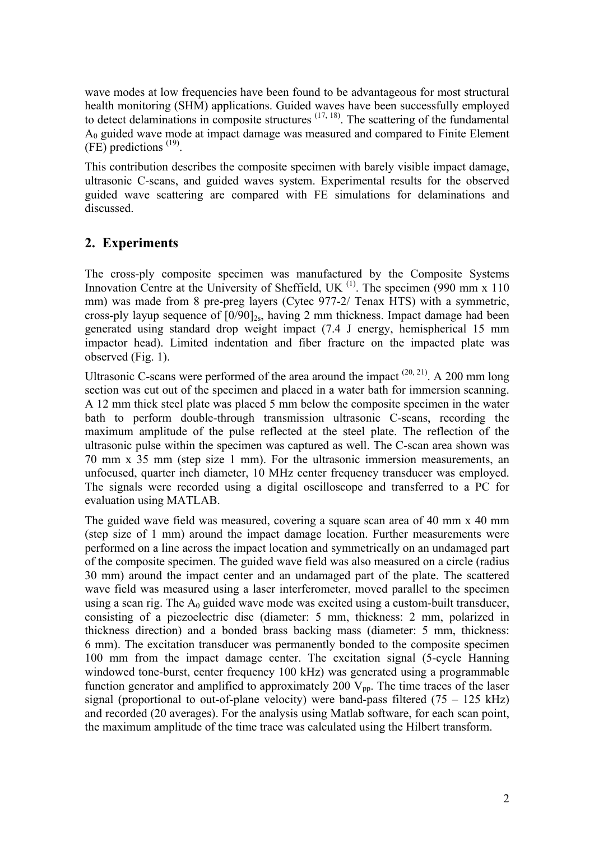wave modes at low frequencies have been found to be advantageous for most structural health monitoring (SHM) applications. Guided waves have been successfully employed to detect delaminations in composite structures  $(17, 18)$ . The scattering of the fundamental A<sup>0</sup> guided wave mode at impact damage was measured and compared to Finite Element (FE) predictions (19) .

This contribution describes the composite specimen with barely visible impact damage, ultrasonic C-scans, and guided waves system. Experimental results for the observed guided wave scattering are compared with FE simulations for delaminations and discussed.

# **2. Experiments**

The cross-ply composite specimen was manufactured by the Composite Systems Innovation Centre at the University of Sheffield, UK  $^{(1)}$ . The specimen (990 mm x 110) mm) was made from 8 pre-preg layers (Cytec 977-2/ Tenax HTS) with a symmetric, cross-ply layup sequence of  $[0/90]_{2s}$ , having 2 mm thickness. Impact damage had been generated using standard drop weight impact (7.4 J energy, hemispherical 15 mm impactor head). Limited indentation and fiber fracture on the impacted plate was observed (Fig. 1).

Ultrasonic C-scans were performed of the area around the impact  $(20, 21)$ . A 200 mm long section was cut out of the specimen and placed in a water bath for immersion scanning. A 12 mm thick steel plate was placed 5 mm below the composite specimen in the water bath to perform double-through transmission ultrasonic C-scans, recording the maximum amplitude of the pulse reflected at the steel plate. The reflection of the ultrasonic pulse within the specimen was captured as well. The C-scan area shown was 70 mm x 35 mm (step size 1 mm). For the ultrasonic immersion measurements, an unfocused, quarter inch diameter, 10 MHz center frequency transducer was employed. The signals were recorded using a digital oscilloscope and transferred to a PC for evaluation using MATLAB.

The guided wave field was measured, covering a square scan area of 40 mm x 40 mm (step size of 1 mm) around the impact damage location. Further measurements were performed on a line across the impact location and symmetrically on an undamaged part of the composite specimen. The guided wave field was also measured on a circle (radius 30 mm) around the impact center and an undamaged part of the plate. The scattered wave field was measured using a laser interferometer, moved parallel to the specimen using a scan rig. The  $A_0$  guided wave mode was excited using a custom-built transducer, consisting of a piezoelectric disc (diameter: 5 mm, thickness: 2 mm, polarized in thickness direction) and a bonded brass backing mass (diameter: 5 mm, thickness: 6 mm). The excitation transducer was permanently bonded to the composite specimen 100 mm from the impact damage center. The excitation signal (5-cycle Hanning windowed tone-burst, center frequency 100 kHz) was generated using a programmable function generator and amplified to approximately 200  $V_{\text{pp}}$ . The time traces of the laser signal (proportional to out-of-plane velocity) were band-pass filtered  $(75 - 125$  kHz) and recorded (20 averages). For the analysis using Matlab software, for each scan point, the maximum amplitude of the time trace was calculated using the Hilbert transform.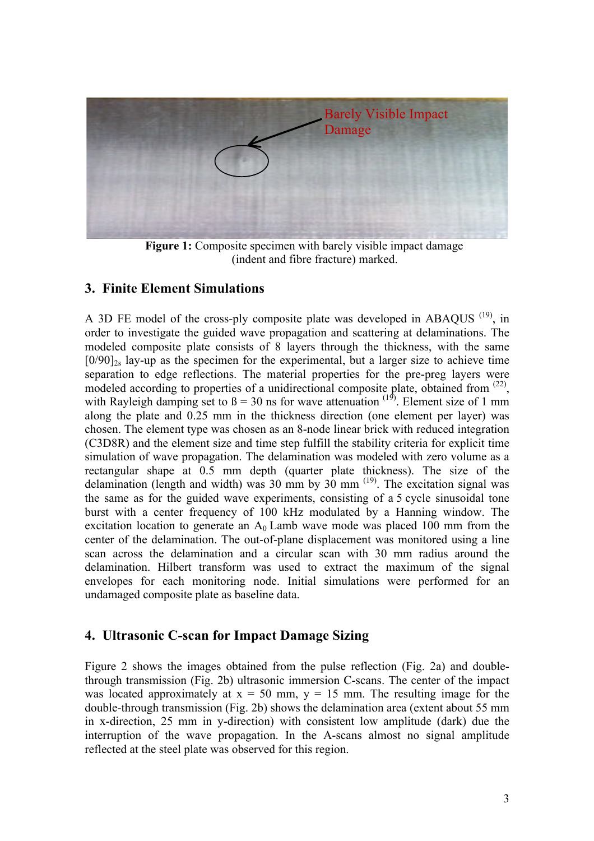

**Figure 1:** Composite specimen with barely visible impact damage (indent and fibre fracture) marked.

### **3. Finite Element Simulations**

A 3D FE model of the cross-ply composite plate was developed in ABAQUS  $(19)$ , in order to investigate the guided wave propagation and scattering at delaminations. The modeled composite plate consists of 8 layers through the thickness, with the same  $[0/90]_{2s}$  lay-up as the specimen for the experimental, but a larger size to achieve time separation to edge reflections. The material properties for the pre-preg layers were modeled according to properties of a unidirectional composite plate, obtained from <sup>(22)</sup>, with Rayleigh damping set to  $\beta = 30$  ns for wave attenuation <sup>(19)</sup>. Element size of 1 mm along the plate and 0.25 mm in the thickness direction (one element per layer) was chosen. The element type was chosen as an 8-node linear brick with reduced integration (C3D8R) and the element size and time step fulfill the stability criteria for explicit time simulation of wave propagation. The delamination was modeled with zero volume as a rectangular shape at 0.5 mm depth (quarter plate thickness). The size of the delamination (length and width) was  $30 \text{ mm}$  by  $30 \text{ mm}$ <sup>(19)</sup>. The excitation signal was the same as for the guided wave experiments, consisting of a 5 cycle sinusoidal tone burst with a center frequency of 100 kHz modulated by a Hanning window. The excitation location to generate an  $A_0$  Lamb wave mode was placed 100 mm from the center of the delamination. The out-of-plane displacement was monitored using a line scan across the delamination and a circular scan with 30 mm radius around the delamination. Hilbert transform was used to extract the maximum of the signal envelopes for each monitoring node. Initial simulations were performed for an undamaged composite plate as baseline data.

### **4. Ultrasonic C-scan for Impact Damage Sizing**

Figure 2 shows the images obtained from the pulse reflection (Fig. 2a) and doublethrough transmission (Fig. 2b) ultrasonic immersion C-scans. The center of the impact was located approximately at  $x = 50$  mm,  $y = 15$  mm. The resulting image for the double-through transmission (Fig. 2b) shows the delamination area (extent about 55 mm in x-direction, 25 mm in y-direction) with consistent low amplitude (dark) due the interruption of the wave propagation. In the A-scans almost no signal amplitude reflected at the steel plate was observed for this region.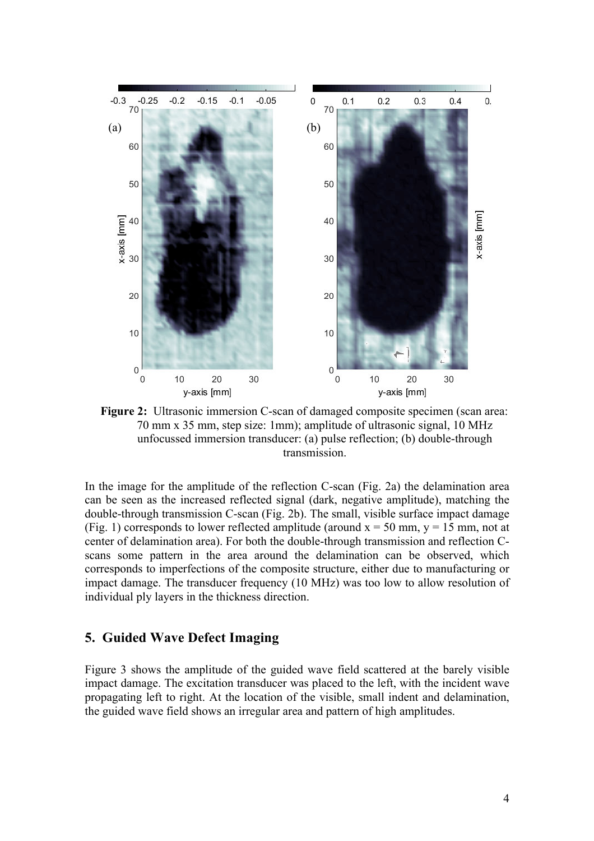

**Figure 2:** Ultrasonic immersion C-scan of damaged composite specimen (scan area: 70 mm x 35 mm, step size: 1mm); amplitude of ultrasonic signal, 10 MHz unfocussed immersion transducer: (a) pulse reflection; (b) double-through transmission.

In the image for the amplitude of the reflection C-scan (Fig. 2a) the delamination area can be seen as the increased reflected signal (dark, negative amplitude), matching the double-through transmission C-scan (Fig. 2b). The small, visible surface impact damage (Fig. 1) corresponds to lower reflected amplitude (around  $x = 50$  mm,  $y = 15$  mm, not at center of delamination area). For both the double-through transmission and reflection Cscans some pattern in the area around the delamination can be observed, which corresponds to imperfections of the composite structure, either due to manufacturing or impact damage. The transducer frequency (10 MHz) was too low to allow resolution of individual ply layers in the thickness direction.

### **5. Guided Wave Defect Imaging**

Figure 3 shows the amplitude of the guided wave field scattered at the barely visible impact damage. The excitation transducer was placed to the left, with the incident wave propagating left to right. At the location of the visible, small indent and delamination, the guided wave field shows an irregular area and pattern of high amplitudes.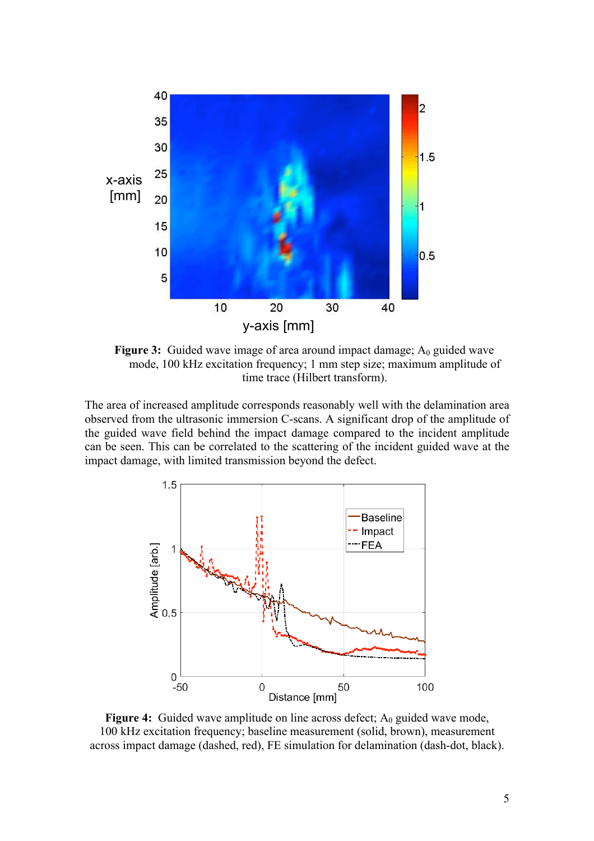

**Figure 3:** Guided wave image of area around impact damage; A<sub>0</sub> guided wave mode, 100 kHz excitation frequency; 1 mm step size; maximum amplitude of time trace (Hilbert transform).

The area of increased amplitude corresponds reasonably well with the delamination area observed from the ultrasonic immersion C-scans. A significant drop of the amplitude of the guided wave field behind the impact damage compared to the incident amplitude can be seen. This can be correlated to the scattering of the incident guided wave at the impact damage, with limited transmission beyond the defect.



**Figure 4:** Guided wave amplitude on line across defect;  $A_0$  guided wave mode, 100 kHz excitation frequency; baseline measurement (solid, brown), measurement across impact damage (dashed, red), FE simulation for delamination (dash-dot, black).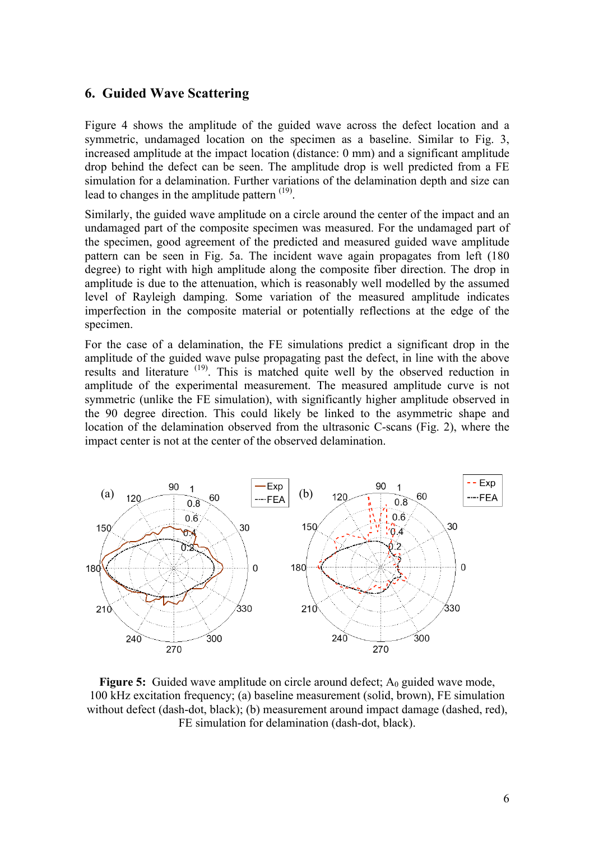### **6. Guided Wave Scattering**

Figure 4 shows the amplitude of the guided wave across the defect location and a symmetric, undamaged location on the specimen as a baseline. Similar to Fig. 3, increased amplitude at the impact location (distance: 0 mm) and a significant amplitude drop behind the defect can be seen. The amplitude drop is well predicted from a FE simulation for a delamination. Further variations of the delamination depth and size can lead to changes in the amplitude pattern  $(19)$ .

Similarly, the guided wave amplitude on a circle around the center of the impact and an undamaged part of the composite specimen was measured. For the undamaged part of the specimen, good agreement of the predicted and measured guided wave amplitude pattern can be seen in Fig. 5a. The incident wave again propagates from left (180 degree) to right with high amplitude along the composite fiber direction. The drop in amplitude is due to the attenuation, which is reasonably well modelled by the assumed level of Rayleigh damping. Some variation of the measured amplitude indicates imperfection in the composite material or potentially reflections at the edge of the specimen.

For the case of a delamination, the FE simulations predict a significant drop in the amplitude of the guided wave pulse propagating past the defect, in line with the above results and literature <sup>(19)</sup>. This is matched quite well by the observed reduction in amplitude of the experimental measurement. The measured amplitude curve is not symmetric (unlike the FE simulation), with significantly higher amplitude observed in the 90 degree direction. This could likely be linked to the asymmetric shape and location of the delamination observed from the ultrasonic C-scans (Fig. 2), where the impact center is not at the center of the observed delamination.



**Figure 5:** Guided wave amplitude on circle around defect; A<sub>0</sub> guided wave mode, 100 kHz excitation frequency; (a) baseline measurement (solid, brown), FE simulation without defect (dash-dot, black); (b) measurement around impact damage (dashed, red), FE simulation for delamination (dash-dot, black).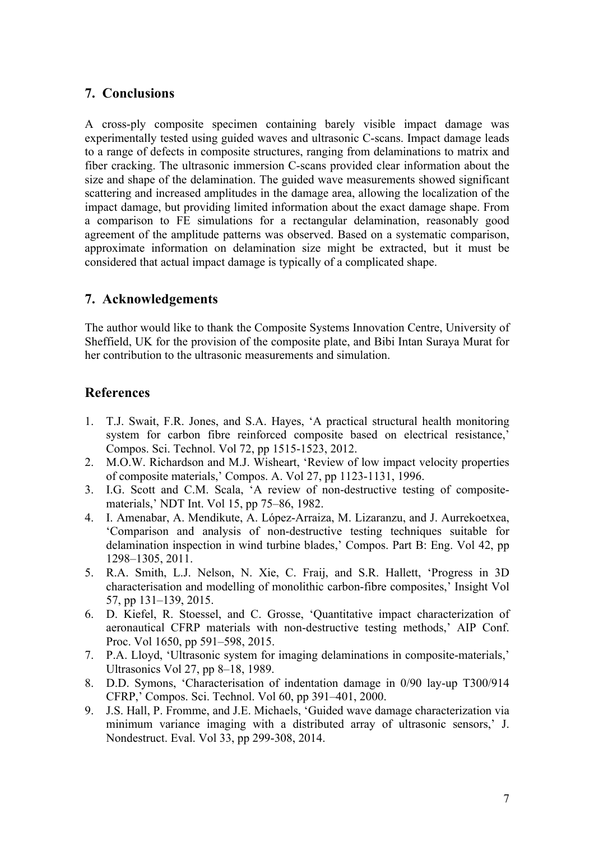# **7. Conclusions**

A cross-ply composite specimen containing barely visible impact damage was experimentally tested using guided waves and ultrasonic C-scans. Impact damage leads to a range of defects in composite structures, ranging from delaminations to matrix and fiber cracking. The ultrasonic immersion C-scans provided clear information about the size and shape of the delamination. The guided wave measurements showed significant scattering and increased amplitudes in the damage area, allowing the localization of the impact damage, but providing limited information about the exact damage shape. From a comparison to FE simulations for a rectangular delamination, reasonably good agreement of the amplitude patterns was observed. Based on a systematic comparison, approximate information on delamination size might be extracted, but it must be considered that actual impact damage is typically of a complicated shape.

# **7. Acknowledgements**

The author would like to thank the Composite Systems Innovation Centre, University of Sheffield, UK for the provision of the composite plate, and Bibi Intan Suraya Murat for her contribution to the ultrasonic measurements and simulation.

# **References**

- 1. T.J. Swait, F.R. Jones, and S.A. Hayes, 'A practical structural health monitoring system for carbon fibre reinforced composite based on electrical resistance,' Compos. Sci. Technol. Vol 72, pp 1515-1523, 2012.
- 2. M.O.W. Richardson and M.J. Wisheart, 'Review of low impact velocity properties of composite materials,' Compos. A. Vol 27, pp 1123-1131, 1996.
- 3. I.G. Scott and C.M. Scala, 'A review of non-destructive testing of compositematerials,' NDT Int. Vol 15, pp 75–86, 1982.
- 4. I. Amenabar, A. Mendikute, A. López-Arraiza, M. Lizaranzu, and J. Aurrekoetxea, 'Comparison and analysis of non-destructive testing techniques suitable for delamination inspection in wind turbine blades,' Compos. Part B: Eng. Vol 42, pp 1298–1305, 2011.
- 5. R.A. Smith, L.J. Nelson, N. Xie, C. Fraij, and S.R. Hallett, 'Progress in 3D characterisation and modelling of monolithic carbon-fibre composites,' Insight Vol 57, pp 131–139, 2015.
- 6. D. Kiefel, R. Stoessel, and C. Grosse, 'Quantitative impact characterization of aeronautical CFRP materials with non-destructive testing methods,' AIP Conf. Proc. Vol 1650, pp 591–598, 2015.
- 7. P.A. Lloyd, 'Ultrasonic system for imaging delaminations in composite-materials,' Ultrasonics Vol 27, pp 8–18, 1989.
- 8. D.D. Symons, 'Characterisation of indentation damage in 0/90 lay-up T300/914 CFRP,' Compos. Sci. Technol. Vol 60, pp 391–401, 2000.
- 9. J.S. Hall, P. Fromme, and J.E. Michaels, 'Guided wave damage characterization via minimum variance imaging with a distributed array of ultrasonic sensors,' J. Nondestruct. Eval. Vol 33, pp 299-308, 2014.